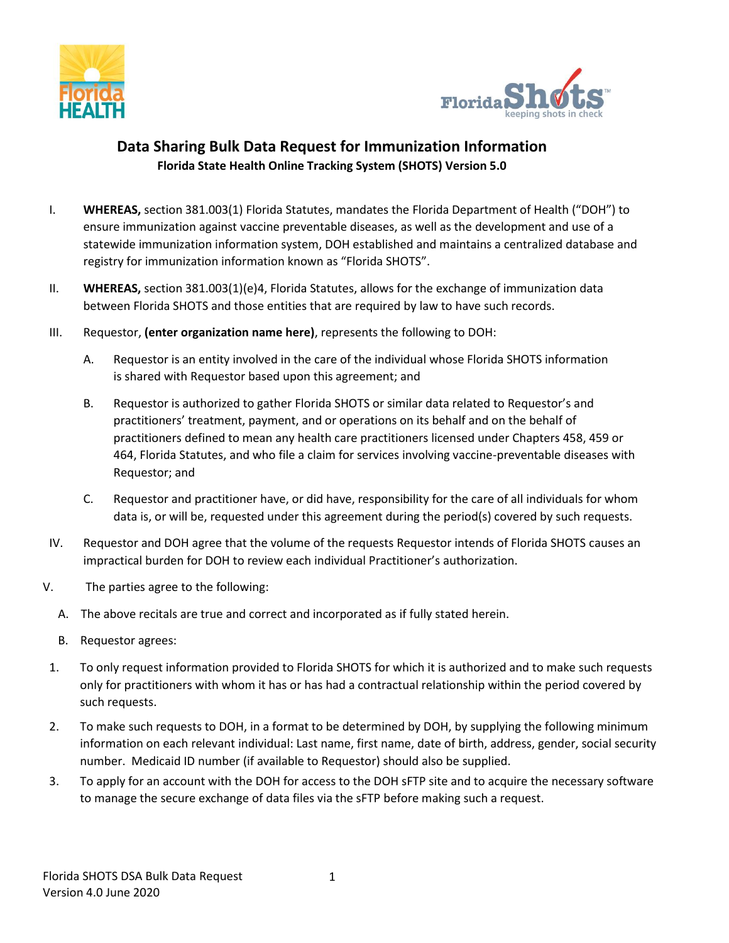



## **Data Sharing Bulk Data Request for Immunization Information Florida State Health Online Tracking System (SHOTS) Version 5.0**

- I. **WHEREAS,** section 381.003(1) Florida Statutes, mandates the Florida Department of Health ("DOH") to ensure immunization against vaccine preventable diseases, as well as the development and use of a statewide immunization information system, DOH established and maintains a centralized database and registry for immunization information known as "Florida SHOTS".
- II. **WHEREAS,** section 381.003(1)(e)4, Florida Statutes, allows for the exchange of immunization data between Florida SHOTS and those entities that are required by law to have such records.
- III. Requestor, **(enter organization name here)**, represents the following to DOH:
	- A. Requestor is an entity involved in the care of the individual whose Florida SHOTS information is shared with Requestor based upon this agreement; and
	- B. Requestor is authorized to gather Florida SHOTS or similar data related to Requestor's and practitioners' treatment, payment, and or operations on its behalf and on the behalf of practitioners defined to mean any health care practitioners licensed under Chapters 458, 459 or 464, Florida Statutes, and who file a claim for services involving vaccine-preventable diseases with Requestor; and
	- C. Requestor and practitioner have, or did have, responsibility for the care of all individuals for whom data is, or will be, requested under this agreement during the period(s) covered by such requests.
- IV. Requestor and DOH agree that the volume of the requests Requestor intends of Florida SHOTS causes an impractical burden for DOH to review each individual Practitioner's authorization.
- V. The parties agree to the following:
	- A. The above recitals are true and correct and incorporated as if fully stated herein.
	- B. Requestor agrees:
- 1. To only request information provided to Florida SHOTS for which it is authorized and to make such requests only for practitioners with whom it has or has had a contractual relationship within the period covered by such requests.
- 2. To make such requests to DOH, in a format to be determined by DOH, by supplying the following minimum information on each relevant individual: Last name, first name, date of birth, address, gender, social security number. Medicaid ID number (if available to Requestor) should also be supplied.
- 3. To apply for an account with the DOH for access to the DOH sFTP site and to acquire the necessary software to manage the secure exchange of data files via the sFTP before making such a request.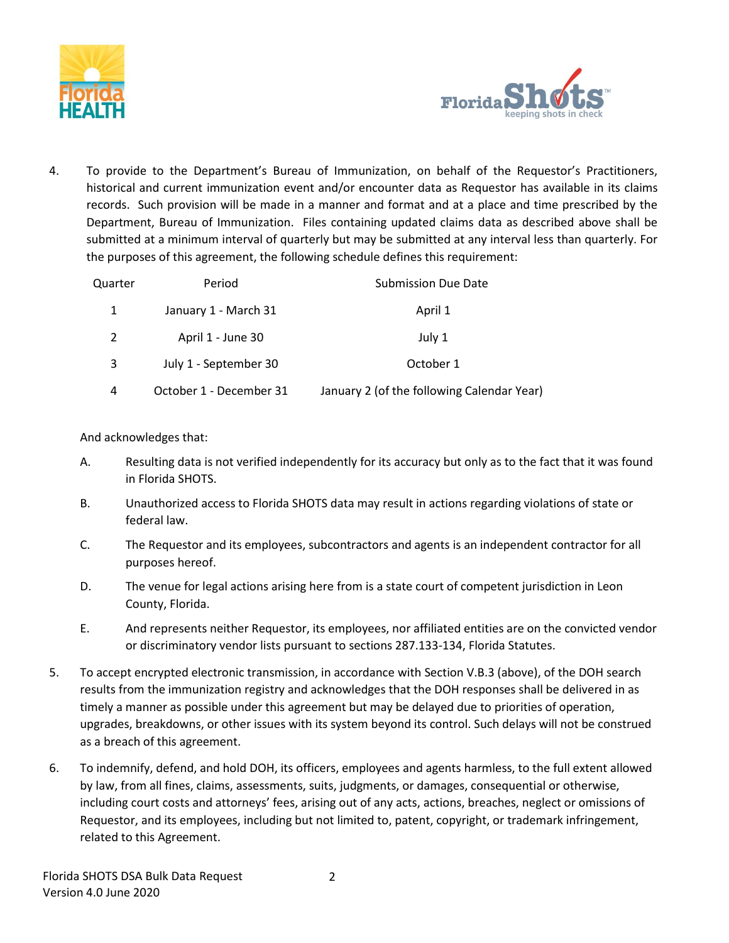



4. To provide to the Department's Bureau of Immunization, on behalf of the Requestor's Practitioners, historical and current immunization event and/or encounter data as Requestor has available in its claims records. Such provision will be made in a manner and format and at a place and time prescribed by the Department, Bureau of Immunization. Files containing updated claims data as described above shall be submitted at a minimum interval of quarterly but may be submitted at any interval less than quarterly. For the purposes of this agreement, the following schedule defines this requirement:

| Quarter | Period                  | <b>Submission Due Date</b>                 |
|---------|-------------------------|--------------------------------------------|
| 1       | January 1 - March 31    | April 1                                    |
| 2       | April 1 - June 30       | July 1                                     |
| 3       | July 1 - September 30   | October 1                                  |
| 4       | October 1 - December 31 | January 2 (of the following Calendar Year) |

## And acknowledges that:

- A. Resulting data is not verified independently for its accuracy but only as to the fact that it was found in Florida SHOTS.
- B. Unauthorized access to Florida SHOTS data may result in actions regarding violations of state or federal law.
- C. The Requestor and its employees, subcontractors and agents is an independent contractor for all purposes hereof.
- D. The venue for legal actions arising here from is a state court of competent jurisdiction in Leon County, Florida.
- E. And represents neither Requestor, its employees, nor affiliated entities are on the convicted vendor or discriminatory vendor lists pursuant to sections 287.133-134, Florida Statutes.
- 5. To accept encrypted electronic transmission, in accordance with Section V.B.3 (above), of the DOH search results from the immunization registry and acknowledges that the DOH responses shall be delivered in as timely a manner as possible under this agreement but may be delayed due to priorities of operation, upgrades, breakdowns, or other issues with its system beyond its control. Such delays will not be construed as a breach of this agreement.
- 6. To indemnify, defend, and hold DOH, its officers, employees and agents harmless, to the full extent allowed by law, from all fines, claims, assessments, suits, judgments, or damages, consequential or otherwise, including court costs and attorneys' fees, arising out of any acts, actions, breaches, neglect or omissions of Requestor, and its employees, including but not limited to, patent, copyright, or trademark infringement, related to this Agreement.